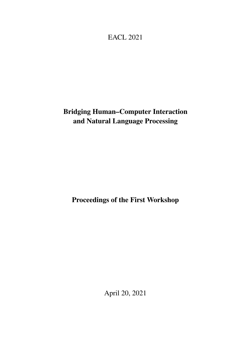<span id="page-0-0"></span>EACL 2021

# Bridging Human–Computer Interaction and Natural Language Processing

Proceedings of the First Workshop

April 20, 2021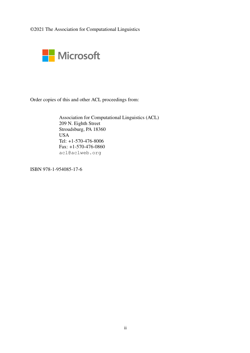©2021 The Association for Computational Linguistics



Order copies of this and other ACL proceedings from:

Association for Computational Linguistics (ACL) 209 N. Eighth Street Stroudsburg, PA 18360 USA Tel: +1-570-476-8006 Fax: +1-570-476-0860 acl@aclweb.org

ISBN 978-1-954085-17-6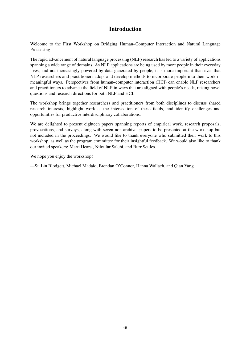# Introduction

Welcome to the First Workshop on Bridging Human–Computer Interaction and Natural Language Processing!

The rapid advancement of natural language processing (NLP) research has led to a variety of applications spanning a wide range of domains. As NLP applications are being used by more people in their everyday lives, and are increasingly powered by data generated by people, it is more important than ever that NLP researchers and practitioners adopt and develop methods to incorporate people into their work in meaningful ways. Perspectives from human–computer interaction (HCI) can enable NLP researchers and practitioners to advance the field of NLP in ways that are aligned with people's needs, raising novel questions and research directions for both NLP and HCI.

The workshop brings together researchers and practitioners from both disciplines to discuss shared research interests, highlight work at the intersection of these fields, and identify challenges and opportunities for productive interdisciplinary collaborations.

We are delighted to present eighteen papers spanning reports of empirical work, research proposals, provocations, and surveys, along with seven non-archival papers to be presented at the workshop but not included in the proceedings. We would like to thank everyone who submitted their work to this workshop, as well as the program committee for their insightful feedback. We would also like to thank our invited speakers: Marti Hearst, Niloufar Salehi, and Burr Settles.

We hope you enjoy the workshop!

—Su Lin Blodgett, Michael Madaio, Brendan O'Connor, Hanna Wallach, and Qian Yang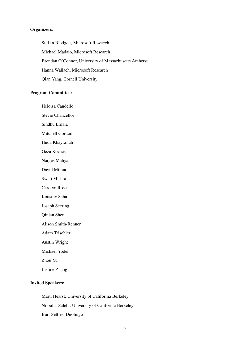#### Organizers:

Su Lin Blodgett, Microsoft Research Michael Madaio, Microsoft Research Brendan O'Connor, University of Massachusetts Amherst Hanna Wallach, Microsoft Research Qian Yang, Cornell University

#### Program Committee:

Heloisa Candello

Stevie Chancellor

Sindhu Ernala

Mitchell Gordon

Huda Khayrallah

Geza Kovacs

Narges Mahyar

David Mimno

Swati Mishra

Carolyn Rosé

Koustuv Saha

Joseph Seering

Qinlan Shen

Alison Smith-Renner

Adam Trischler

Austin Wright

Michael Yoder

Zhou Yu

Justine Zhang

### Invited Speakers:

Marti Hearst, University of California Berkeley Niloufar Salehi, University of California Berkeley Burr Settles, Duolingo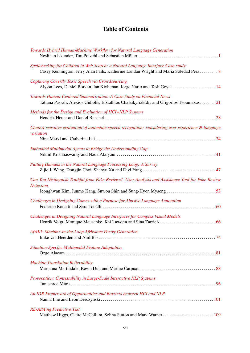# Table of Contents

| Towards Hybrid Human-Machine Workflow for Natural Language Generation                                                                                                     |
|---------------------------------------------------------------------------------------------------------------------------------------------------------------------------|
| Spellchecking for Children in Web Search: a Natural Language Interface Case-study<br>Casey Kennington, Jerry Alan Fails, Katherine Landau Wright and Maria Soledad Pera 8 |
| Capturing Covertly Toxic Speech via Crowdsourcing<br>Alyssa Lees, Daniel Borkan, Ian Kivlichan, Jorge Nario and Tesh Goyal  14                                            |
| Towards Human-Centered Summarization: A Case Study on Financial News<br>Tatiana Passali, Alexios Gidiotis, Efstathios Chatzikyriakidis and Grigorios Tsoumakas21          |
| Methods for the Design and Evaluation of HCI+NLP Systems                                                                                                                  |
| Context-sensitive evaluation of automatic speech recognition: considering user experience & language<br>variation                                                         |
| Embodied Multimodal Agents to Bridge the Understanding Gap                                                                                                                |
| Putting Humans in the Natural Language Processing Loop: A Survey                                                                                                          |
| Can You Distinguish Truthful from Fake Reviews? User Analysis and Assistance Tool for Fake Review<br><b>Detection</b>                                                     |
| Challenges in Designing Games with a Purpose for Abusive Language Annotation                                                                                              |
| Challenges in Designing Natural Language Interfaces for Complex Visual Models                                                                                             |
| AfriKI: Machine-in-the-Loop Afrikaans Poetry Generation                                                                                                                   |
| Situation-Specific Multimodal Feature Adaptation                                                                                                                          |
| <b>Machine Translation Believability</b>                                                                                                                                  |
| Provocation: Contestability in Large-Scale Interactive NLP Systems                                                                                                        |
| An IDR Framework of Opportunities and Barriers between HCI and NLP                                                                                                        |
| <b>RE-AIMing Predictive Text</b><br>Matthew Higgs, Claire McCallum, Selina Sutton and Mark Warner  109                                                                    |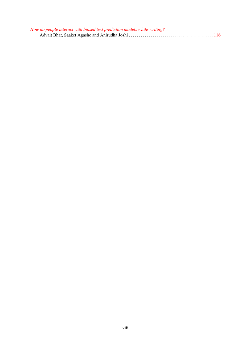| How do people interact with biased text prediction models while writing? |  |
|--------------------------------------------------------------------------|--|
|                                                                          |  |